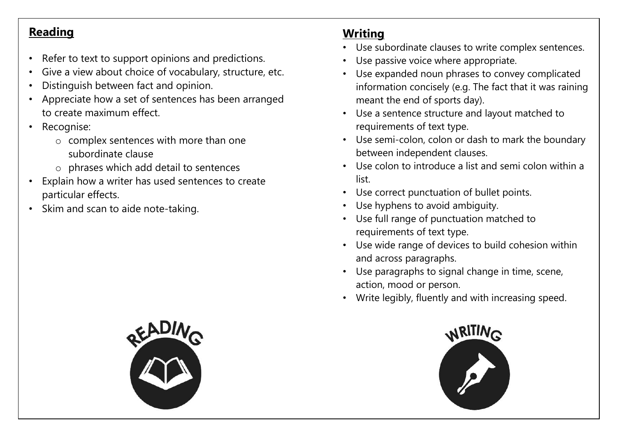## **Reading**

- Refer to text to support opinions and predictions.
- Give a view about choice of vocabulary, structure, etc.
- Distinguish between fact and opinion.
- Appreciate how a set of sentences has been arranged to create maximum effect.
- Recognise:
	- o complex sentences with more than one subordinate clause
	- o phrases which add detail to sentences
- Explain how a writer has used sentences to create particular effects.
- Skim and scan to aide note-taking.

## **Writing**

- Use subordinate clauses to write complex sentences.
- Use passive voice where appropriate.
- Use expanded noun phrases to convey complicated information concisely (e.g. The fact that it was raining meant the end of sports day).
- Use a sentence structure and layout matched to requirements of text type.
- Use semi-colon, colon or dash to mark the boundary between independent clauses.
- Use colon to introduce a list and semi colon within a list.
- Use correct punctuation of bullet points.
- Use hyphens to avoid ambiguity.
- Use full range of punctuation matched to requirements of text type.
- Use wide range of devices to build cohesion within and across paragraphs.
- Use paragraphs to signal change in time, scene, action, mood or person.
- Write legibly, fluently and with increasing speed.